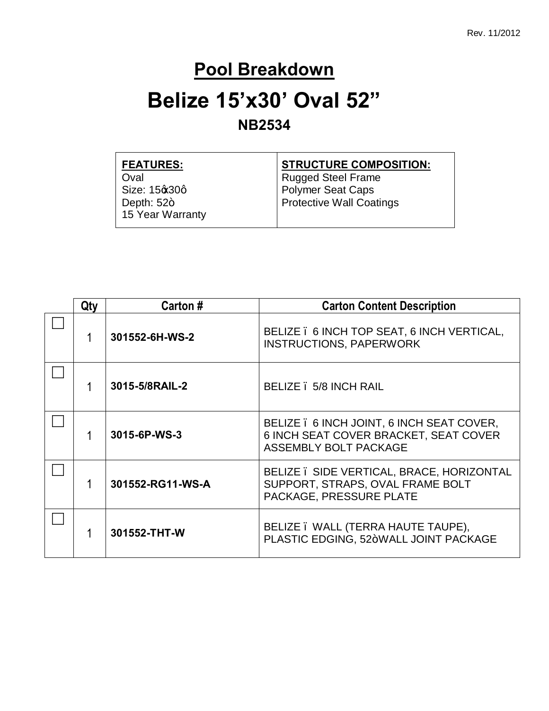#### **Pool Breakdown**

## **Belize 15'x30' Oval 52"**

#### **NB2534**

| <b>STRUCTURE COMPOSITION:</b> |
|-------------------------------|
| <b>Rugged Steel Frame</b>     |
| <b>Polymer Seat Caps</b>      |
| Protective Wall Coatings      |
|                               |
|                               |

| Qty | Carton #         | <b>Carton Content Description</b>                                                                                  |
|-----|------------------|--------------------------------------------------------------------------------------------------------------------|
|     | 301552-6H-WS-2   | BELIZE . 6 INCH TOP SEAT, 6 INCH VERTICAL,<br><b>INSTRUCTIONS, PAPERWORK</b>                                       |
|     | 3015-5/8RAIL-2   | BELIZE . 5/8 INCH RAIL                                                                                             |
|     | 3015-6P-WS-3     | BELIZE . 6 INCH JOINT, 6 INCH SEAT COVER,<br>6 INCH SEAT COVER BRACKET, SEAT COVER<br><b>ASSEMBLY BOLT PACKAGE</b> |
|     | 301552-RG11-WS-A | BELIZE . SIDE VERTICAL, BRACE, HORIZONTAL<br>SUPPORT, STRAPS, OVAL FRAME BOLT<br>PACKAGE, PRESSURE PLATE           |
|     | 301552-THT-W     | BELIZE . WALL (TERRA HAUTE TAUPE),<br>PLASTIC EDGING, 52+WALL JOINT PACKAGE                                        |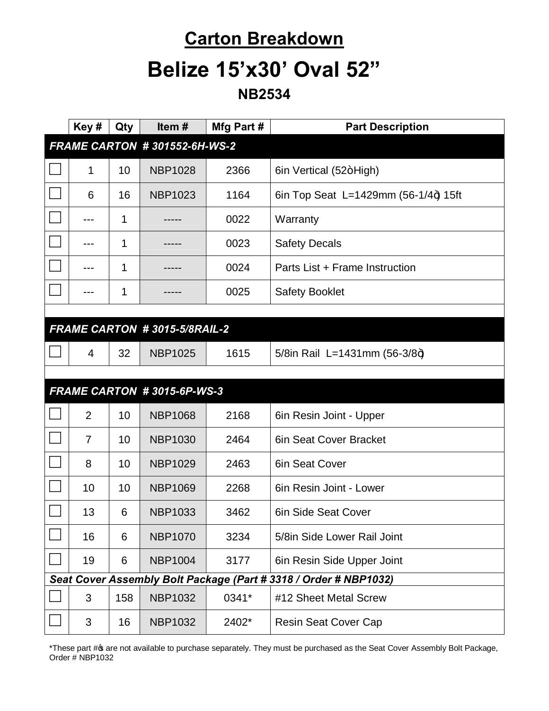#### **Carton Breakdown**

#### **Belize 15'x30' Oval 52"**

**NB2534**

| Key#                         | Qty | Item#                        | Mfg Part # | <b>Part Description</b>                                          |
|------------------------------|-----|------------------------------|------------|------------------------------------------------------------------|
| FRAME CARTON #301552-6H-WS-2 |     |                              |            |                                                                  |
| 1                            | 10  | <b>NBP1028</b>               | 2366       | 6in Vertical (52+High)                                           |
| 6                            | 16  | <b>NBP1023</b>               | 1164       | 6in Top Seat L=1429mm $(56-1/4)$ 15ft                            |
|                              | 1   |                              | 0022       | Warranty                                                         |
|                              | 1   |                              | 0023       | <b>Safety Decals</b>                                             |
|                              | 1   |                              | 0024       | Parts List + Frame Instruction                                   |
|                              | 1   |                              | 0025       | <b>Safety Booklet</b>                                            |
|                              |     |                              |            |                                                                  |
|                              |     | FRAME CARTON #3015-5/8RAIL-2 |            |                                                                  |
| 4                            | 32  | <b>NBP1025</b>               | 1615       | 5/8in Rail L=1431mm (56-3/8+)                                    |
|                              |     |                              |            |                                                                  |
|                              |     | FRAME CARTON #3015-6P-WS-3   |            |                                                                  |
| $\overline{2}$               | 10  | <b>NBP1068</b>               | 2168       | 6in Resin Joint - Upper                                          |
| $\overline{7}$               | 10  | <b>NBP1030</b>               | 2464       | 6in Seat Cover Bracket                                           |
| 8                            | 10  | <b>NBP1029</b>               | 2463       | 6in Seat Cover                                                   |
| 10                           | 10  | <b>NBP1069</b>               | 2268       | 6in Resin Joint - Lower                                          |
| 13                           | 6   | <b>NBP1033</b>               | 3462       | 6in Side Seat Cover                                              |
| 16                           | 6   | <b>NBP1070</b>               | 3234       | 5/8in Side Lower Rail Joint                                      |
| 19                           | 6   | <b>NBP1004</b>               | 3177       | 6in Resin Side Upper Joint                                       |
|                              |     |                              |            | Seat Cover Assembly Bolt Package (Part # 3318 / Order # NBP1032) |
| 3                            | 158 | <b>NBP1032</b>               | 0341*      | #12 Sheet Metal Screw                                            |
| 3                            | 16  | <b>NBP1032</b>               | 2402*      | <b>Resin Seat Cover Cap</b>                                      |

\*These part # are not available to purchase separately. They must be purchased as the Seat Cover Assembly Bolt Package, Order # NBP1032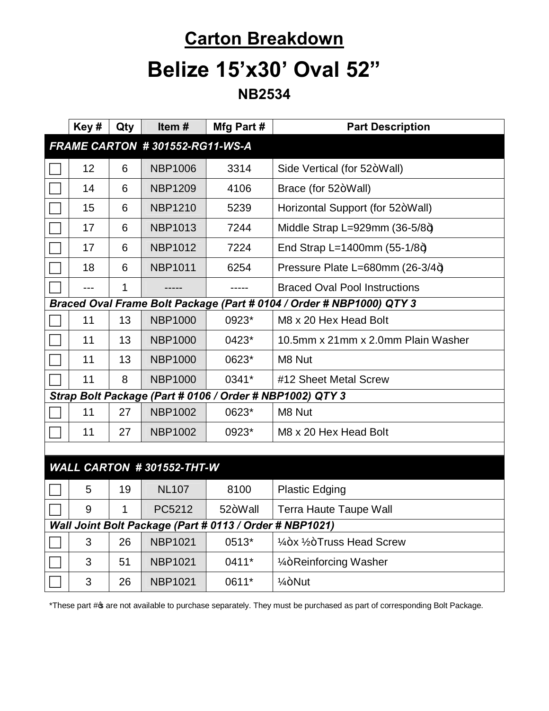# **Carton Breakdown**

### **Belize 15'x30' Oval 52"**

**NB2534**

|                                | Key# | Qty | Item#                     | Mfg Part #                                              | <b>Part Description</b>                                              |  |
|--------------------------------|------|-----|---------------------------|---------------------------------------------------------|----------------------------------------------------------------------|--|
| FRAME CARTON #301552-RG11-WS-A |      |     |                           |                                                         |                                                                      |  |
|                                | 12   | 6   | <b>NBP1006</b>            | 3314                                                    | Side Vertical (for 52+Wall)                                          |  |
|                                | 14   | 6   | <b>NBP1209</b>            | 4106                                                    | Brace (for 52+Wall)                                                  |  |
|                                | 15   | 6   | <b>NBP1210</b>            | 5239                                                    | Horizontal Support (for 52+Wall)                                     |  |
|                                | 17   | 6   | <b>NBP1013</b>            | 7244                                                    | Middle Strap L=929mm $(36-5/8+)$                                     |  |
|                                | 17   | 6   | <b>NBP1012</b>            | 7224                                                    | End Strap L=1400mm $(55-1/8+)$                                       |  |
|                                | 18   | 6   | <b>NBP1011</b>            | 6254                                                    | Pressure Plate L=680mm (26-3/4+)                                     |  |
|                                |      | 1   |                           |                                                         | <b>Braced Oval Pool Instructions</b>                                 |  |
|                                |      |     |                           |                                                         | Braced Oval Frame Bolt Package (Part # 0104 / Order # NBP1000) QTY 3 |  |
|                                | 11   | 13  | <b>NBP1000</b>            | 0923*                                                   | M8 x 20 Hex Head Bolt                                                |  |
|                                | 11   | 13  | <b>NBP1000</b>            | 0423*                                                   | 10.5mm x 21mm x 2.0mm Plain Washer                                   |  |
|                                | 11   | 13  | <b>NBP1000</b>            | 0623*                                                   | M8 Nut                                                               |  |
|                                | 11   | 8   | <b>NBP1000</b>            | 0341*                                                   | #12 Sheet Metal Screw                                                |  |
|                                |      |     |                           |                                                         | Strap Bolt Package (Part # 0106 / Order # NBP1002) QTY 3             |  |
|                                | 11   | 27  | <b>NBP1002</b>            | 0623*                                                   | M8 Nut                                                               |  |
|                                | 11   | 27  | <b>NBP1002</b>            | 0923*                                                   | M8 x 20 Hex Head Bolt                                                |  |
|                                |      |     |                           |                                                         |                                                                      |  |
|                                |      |     | WALL CARTON #301552-THT-W |                                                         |                                                                      |  |
|                                | 5    | 19  | <b>NL107</b>              | 8100                                                    | <b>Plastic Edging</b>                                                |  |
|                                | 9    | 1   | PC5212                    | 52+Wall                                                 | <b>Terra Haute Taupe Wall</b>                                        |  |
|                                |      |     |                           | Wall Joint Bolt Package (Part # 0113 / Order # NBP1021) |                                                                      |  |
|                                | 3    | 26  | <b>NBP1021</b>            | 0513*                                                   | 1/4+x 1/2+Truss Head Screw                                           |  |
|                                | 3    | 51  | <b>NBP1021</b>            | 0411*                                                   | 1/ <sub>4</sub> +Reinforcing Washer                                  |  |
|                                | 3    | 26  | <b>NBP1021</b>            | 0611*                                                   | 1⁄4+Nut                                                              |  |

\*These part # are not available to purchase separately. They must be purchased as part of corresponding Bolt Package.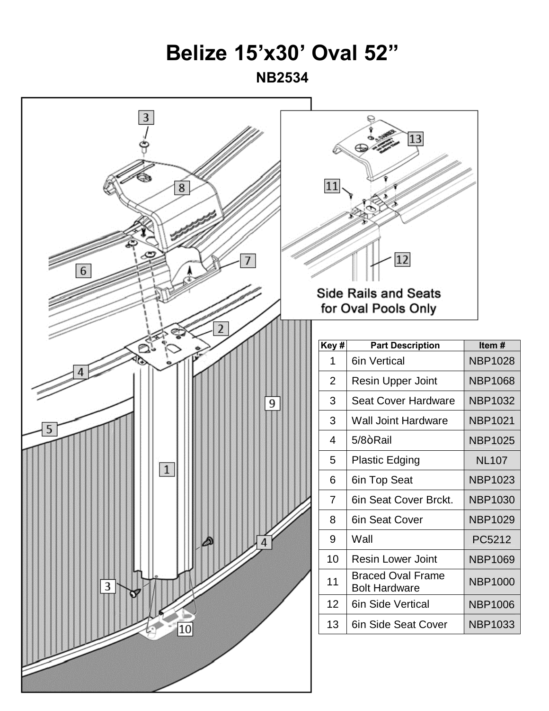#### **Belize 15'x30' Oval 52"**

**NB2534**